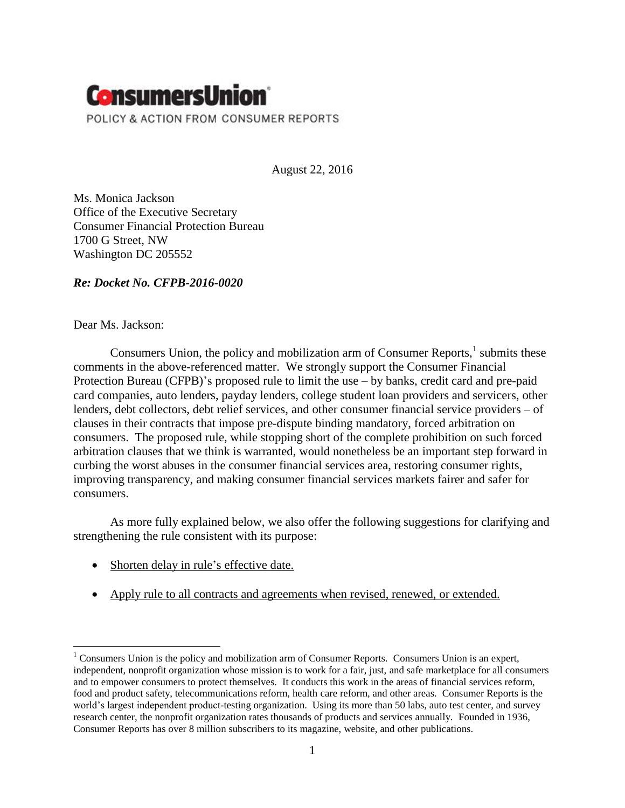

August 22, 2016

Ms. Monica Jackson Office of the Executive Secretary Consumer Financial Protection Bureau 1700 G Street, NW Washington DC 205552

*Re: Docket No. CFPB-2016-0020*

Dear Ms. Jackson:

Consumers Union, the policy and mobilization arm of Consumer Reports, $<sup>1</sup>$  submits these</sup> comments in the above-referenced matter. We strongly support the Consumer Financial Protection Bureau (CFPB)'s proposed rule to limit the use – by banks, credit card and pre-paid card companies, auto lenders, payday lenders, college student loan providers and servicers, other lenders, debt collectors, debt relief services, and other consumer financial service providers – of clauses in their contracts that impose pre-dispute binding mandatory, forced arbitration on consumers. The proposed rule, while stopping short of the complete prohibition on such forced arbitration clauses that we think is warranted, would nonetheless be an important step forward in curbing the worst abuses in the consumer financial services area, restoring consumer rights, improving transparency, and making consumer financial services markets fairer and safer for consumers.

As more fully explained below, we also offer the following suggestions for clarifying and strengthening the rule consistent with its purpose:

- Shorten delay in rule's effective date.
- Apply rule to all contracts and agreements when revised, renewed, or extended.

 $\overline{a}$ <sup>1</sup> Consumers Union is the policy and mobilization arm of Consumer Reports. Consumers Union is an expert, independent, nonprofit organization whose mission is to work for a fair, just, and safe marketplace for all consumers and to empower consumers to protect themselves. It conducts this work in the areas of financial services reform, food and product safety, telecommunications reform, health care reform, and other areas. Consumer Reports is the world's largest independent product-testing organization. Using its more than 50 labs, auto test center, and survey research center, the nonprofit organization rates thousands of products and services annually. Founded in 1936, Consumer Reports has over 8 million subscribers to its magazine, website, and other publications.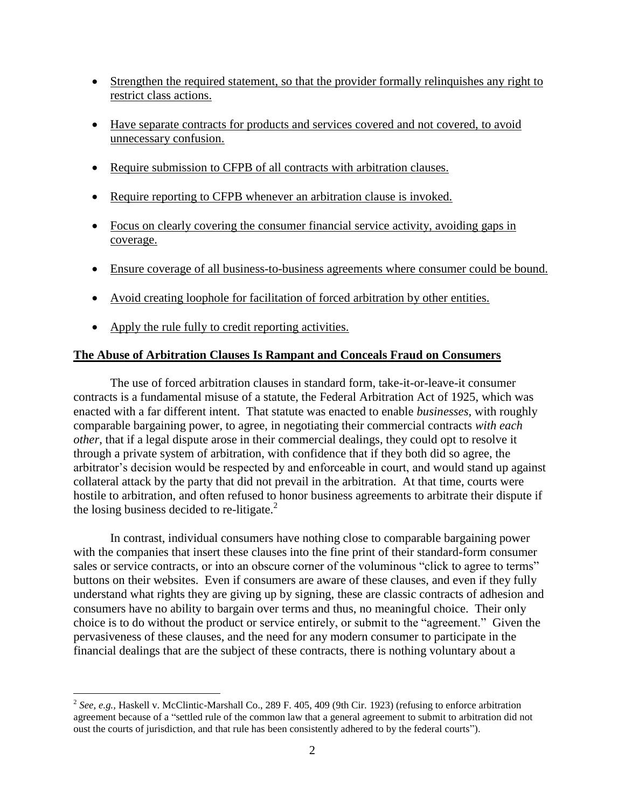- Strengthen the required statement, so that the provider formally relinquishes any right to restrict class actions.
- Have separate contracts for products and services covered and not covered, to avoid unnecessary confusion.
- Require submission to CFPB of all contracts with arbitration clauses.
- Require reporting to CFPB whenever an arbitration clause is invoked.
- Focus on clearly covering the consumer financial service activity, avoiding gaps in coverage.
- Ensure coverage of all business-to-business agreements where consumer could be bound.
- Avoid creating loophole for facilitation of forced arbitration by other entities.
- Apply the rule fully to credit reporting activities.

# **The Abuse of Arbitration Clauses Is Rampant and Conceals Fraud on Consumers**

The use of forced arbitration clauses in standard form, take-it-or-leave-it consumer contracts is a fundamental misuse of a statute, the Federal Arbitration Act of 1925, which was enacted with a far different intent. That statute was enacted to enable *businesses*, with roughly comparable bargaining power, to agree, in negotiating their commercial contracts *with each other*, that if a legal dispute arose in their commercial dealings, they could opt to resolve it through a private system of arbitration, with confidence that if they both did so agree, the arbitrator's decision would be respected by and enforceable in court, and would stand up against collateral attack by the party that did not prevail in the arbitration. At that time, courts were hostile to arbitration, and often refused to honor business agreements to arbitrate their dispute if the losing business decided to re-litigate. $<sup>2</sup>$ </sup>

In contrast, individual consumers have nothing close to comparable bargaining power with the companies that insert these clauses into the fine print of their standard-form consumer sales or service contracts, or into an obscure corner of the voluminous "click to agree to terms" buttons on their websites. Even if consumers are aware of these clauses, and even if they fully understand what rights they are giving up by signing, these are classic contracts of adhesion and consumers have no ability to bargain over terms and thus, no meaningful choice. Their only choice is to do without the product or service entirely, or submit to the "agreement." Given the pervasiveness of these clauses, and the need for any modern consumer to participate in the financial dealings that are the subject of these contracts, there is nothing voluntary about a

 2 *See, e.g.,* Haskell v. McClintic-Marshall Co., 289 F. 405, 409 (9th Cir. 1923) (refusing to enforce arbitration agreement because of a "settled rule of the common law that a general agreement to submit to arbitration did not oust the courts of jurisdiction, and that rule has been consistently adhered to by the federal courts").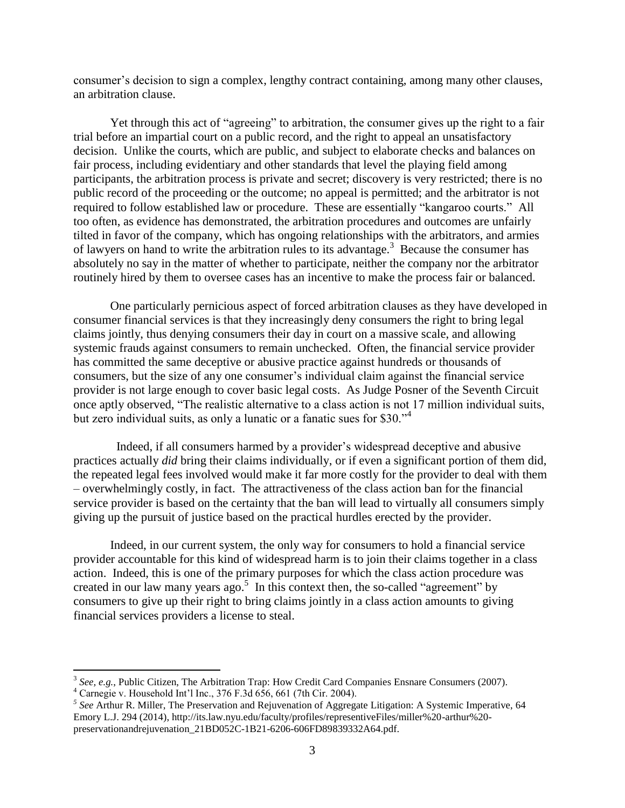consumer's decision to sign a complex, lengthy contract containing, among many other clauses, an arbitration clause.

Yet through this act of "agreeing" to arbitration, the consumer gives up the right to a fair trial before an impartial court on a public record, and the right to appeal an unsatisfactory decision. Unlike the courts, which are public, and subject to elaborate checks and balances on fair process, including evidentiary and other standards that level the playing field among participants, the arbitration process is private and secret; discovery is very restricted; there is no public record of the proceeding or the outcome; no appeal is permitted; and the arbitrator is not required to follow established law or procedure. These are essentially "kangaroo courts." All too often, as evidence has demonstrated, the arbitration procedures and outcomes are unfairly tilted in favor of the company, which has ongoing relationships with the arbitrators, and armies of lawyers on hand to write the arbitration rules to its advantage.<sup>3</sup> Because the consumer has absolutely no say in the matter of whether to participate, neither the company nor the arbitrator routinely hired by them to oversee cases has an incentive to make the process fair or balanced.

One particularly pernicious aspect of forced arbitration clauses as they have developed in consumer financial services is that they increasingly deny consumers the right to bring legal claims jointly, thus denying consumers their day in court on a massive scale, and allowing systemic frauds against consumers to remain unchecked. Often, the financial service provider has committed the same deceptive or abusive practice against hundreds or thousands of consumers, but the size of any one consumer's individual claim against the financial service provider is not large enough to cover basic legal costs. As Judge Posner of the Seventh Circuit once aptly observed, "The realistic alternative to a class action is not 17 million individual suits, but zero individual suits, as only a lunatic or a fanatic sues for \$30."<sup>4</sup>

 Indeed, if all consumers harmed by a provider's widespread deceptive and abusive practices actually *did* bring their claims individually, or if even a significant portion of them did, the repeated legal fees involved would make it far more costly for the provider to deal with them – overwhelmingly costly, in fact. The attractiveness of the class action ban for the financial service provider is based on the certainty that the ban will lead to virtually all consumers simply giving up the pursuit of justice based on the practical hurdles erected by the provider.

Indeed, in our current system, the only way for consumers to hold a financial service provider accountable for this kind of widespread harm is to join their claims together in a class action. Indeed, this is one of the primary purposes for which the class action procedure was created in our law many years ago.<sup>5</sup> In this context then, the so-called "agreement" by consumers to give up their right to bring claims jointly in a class action amounts to giving financial services providers a license to steal.

<sup>&</sup>lt;sup>3</sup> See, e.g., Public Citizen, The Arbitration Trap: How Credit Card Companies Ensnare Consumers (2007).

 $4$  Carnegie v. Household Int'l Inc., 376 F.3d 656, 661 (7th Cir. 2004).

*<sup>5</sup> See* Arthur R. Miller, The Preservation and Rejuvenation of Aggregate Litigation: A Systemic Imperative, 64 Emory L.J. 294 (2014), http://its.law.nyu.edu/faculty/profiles/representiveFiles/miller%20-arthur%20 preservationandrejuvenation\_21BD052C-1B21-6206-606FD89839332A64.pdf.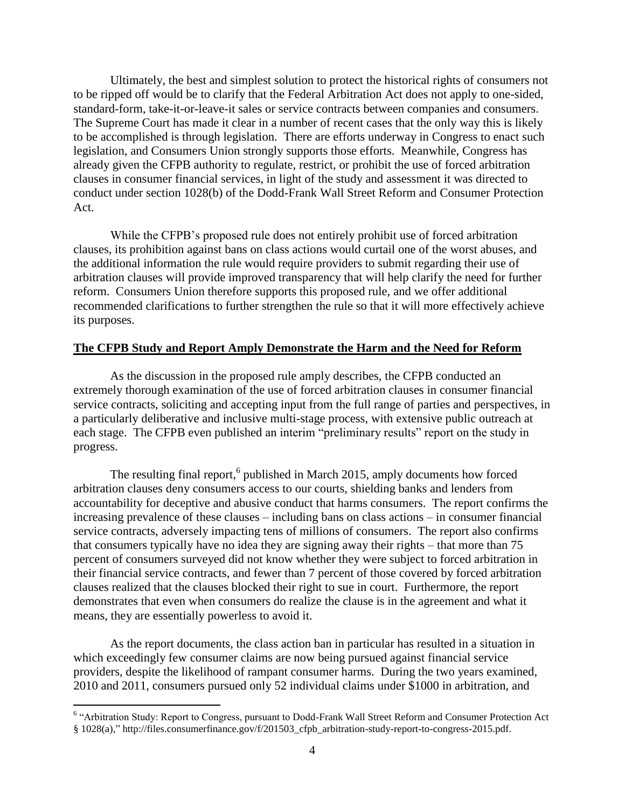Ultimately, the best and simplest solution to protect the historical rights of consumers not to be ripped off would be to clarify that the Federal Arbitration Act does not apply to one-sided, standard-form, take-it-or-leave-it sales or service contracts between companies and consumers. The Supreme Court has made it clear in a number of recent cases that the only way this is likely to be accomplished is through legislation. There are efforts underway in Congress to enact such legislation, and Consumers Union strongly supports those efforts. Meanwhile, Congress has already given the CFPB authority to regulate, restrict, or prohibit the use of forced arbitration clauses in consumer financial services, in light of the study and assessment it was directed to conduct under section 1028(b) of the Dodd-Frank Wall Street Reform and Consumer Protection Act.

While the CFPB's proposed rule does not entirely prohibit use of forced arbitration clauses, its prohibition against bans on class actions would curtail one of the worst abuses, and the additional information the rule would require providers to submit regarding their use of arbitration clauses will provide improved transparency that will help clarify the need for further reform. Consumers Union therefore supports this proposed rule, and we offer additional recommended clarifications to further strengthen the rule so that it will more effectively achieve its purposes.

### **The CFPB Study and Report Amply Demonstrate the Harm and the Need for Reform**

As the discussion in the proposed rule amply describes, the CFPB conducted an extremely thorough examination of the use of forced arbitration clauses in consumer financial service contracts, soliciting and accepting input from the full range of parties and perspectives, in a particularly deliberative and inclusive multi-stage process, with extensive public outreach at each stage. The CFPB even published an interim "preliminary results" report on the study in progress.

The resulting final report,<sup>6</sup> published in March 2015, amply documents how forced arbitration clauses deny consumers access to our courts, shielding banks and lenders from accountability for deceptive and abusive conduct that harms consumers. The report confirms the increasing prevalence of these clauses – including bans on class actions – in consumer financial service contracts, adversely impacting tens of millions of consumers. The report also confirms that consumers typically have no idea they are signing away their rights – that more than 75 percent of consumers surveyed did not know whether they were subject to forced arbitration in their financial service contracts, and fewer than 7 percent of those covered by forced arbitration clauses realized that the clauses blocked their right to sue in court. Furthermore, the report demonstrates that even when consumers do realize the clause is in the agreement and what it means, they are essentially powerless to avoid it.

As the report documents, the class action ban in particular has resulted in a situation in which exceedingly few consumer claims are now being pursued against financial service providers, despite the likelihood of rampant consumer harms. During the two years examined, 2010 and 2011, consumers pursued only 52 individual claims under \$1000 in arbitration, and

 6 "Arbitration Study: Report to Congress, pursuant to Dodd-Frank Wall Street Reform and Consumer Protection Act § 1028(a)," http://files.consumerfinance.gov/f/201503\_cfpb\_arbitration-study-report-to-congress-2015.pdf.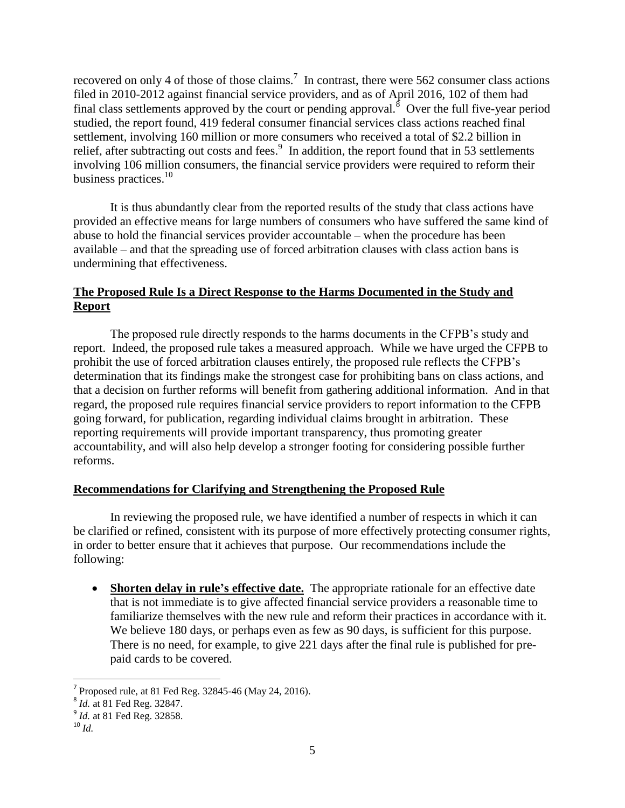recovered on only 4 of those of those claims.<sup>7</sup> In contrast, there were 562 consumer class actions filed in 2010-2012 against financial service providers, and as of April 2016, 102 of them had final class settlements approved by the court or pending approval.  $\delta$  Over the full five-year period studied, the report found, 419 federal consumer financial services class actions reached final settlement, involving 160 million or more consumers who received a total of \$2.2 billion in relief, after subtracting out costs and fees.<sup>9</sup> In addition, the report found that in 53 settlements involving 106 million consumers, the financial service providers were required to reform their business practices.<sup>10</sup>

It is thus abundantly clear from the reported results of the study that class actions have provided an effective means for large numbers of consumers who have suffered the same kind of abuse to hold the financial services provider accountable – when the procedure has been available – and that the spreading use of forced arbitration clauses with class action bans is undermining that effectiveness.

# **The Proposed Rule Is a Direct Response to the Harms Documented in the Study and Report**

The proposed rule directly responds to the harms documents in the CFPB's study and report. Indeed, the proposed rule takes a measured approach. While we have urged the CFPB to prohibit the use of forced arbitration clauses entirely, the proposed rule reflects the CFPB's determination that its findings make the strongest case for prohibiting bans on class actions, and that a decision on further reforms will benefit from gathering additional information. And in that regard, the proposed rule requires financial service providers to report information to the CFPB going forward, for publication, regarding individual claims brought in arbitration. These reporting requirements will provide important transparency, thus promoting greater accountability, and will also help develop a stronger footing for considering possible further reforms.

# **Recommendations for Clarifying and Strengthening the Proposed Rule**

In reviewing the proposed rule, we have identified a number of respects in which it can be clarified or refined, consistent with its purpose of more effectively protecting consumer rights, in order to better ensure that it achieves that purpose. Our recommendations include the following:

 **Shorten delay in rule's effective date.** The appropriate rationale for an effective date that is not immediate is to give affected financial service providers a reasonable time to familiarize themselves with the new rule and reform their practices in accordance with it. We believe 180 days, or perhaps even as few as 90 days, is sufficient for this purpose. There is no need, for example, to give 221 days after the final rule is published for prepaid cards to be covered.

 7 Proposed rule, at 81 Fed Reg. 32845-46 (May 24, 2016).

<sup>8</sup> *Id.* at 81 Fed Reg. 32847.

<sup>&</sup>lt;sup>9</sup> *Id.* at 81 Fed Reg. 32858.

<sup>10</sup> *Id.*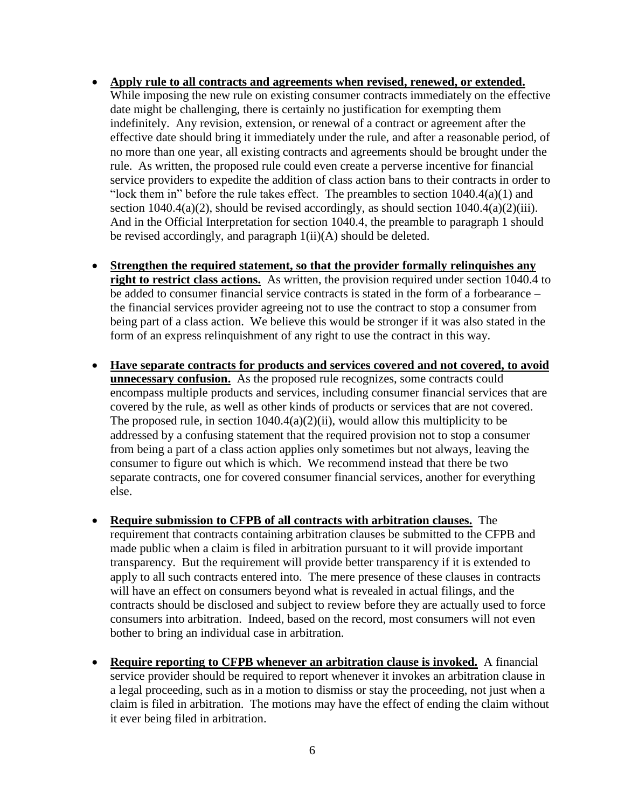- **Apply rule to all contracts and agreements when revised, renewed, or extended.** While imposing the new rule on existing consumer contracts immediately on the effective date might be challenging, there is certainly no justification for exempting them indefinitely. Any revision, extension, or renewal of a contract or agreement after the effective date should bring it immediately under the rule, and after a reasonable period, of no more than one year, all existing contracts and agreements should be brought under the rule. As written, the proposed rule could even create a perverse incentive for financial service providers to expedite the addition of class action bans to their contracts in order to "lock them in" before the rule takes effect. The preambles to section  $1040.4(a)(1)$  and section  $1040.4(a)(2)$ , should be revised accordingly, as should section  $1040.4(a)(2)(iii)$ . And in the Official Interpretation for section 1040.4, the preamble to paragraph 1 should be revised accordingly, and paragraph 1(ii)(A) should be deleted.
- **Strengthen the required statement, so that the provider formally relinquishes any right to restrict class actions.** As written, the provision required under section 1040.4 to be added to consumer financial service contracts is stated in the form of a forbearance – the financial services provider agreeing not to use the contract to stop a consumer from being part of a class action. We believe this would be stronger if it was also stated in the form of an express relinquishment of any right to use the contract in this way.
- **Have separate contracts for products and services covered and not covered, to avoid unnecessary confusion.** As the proposed rule recognizes, some contracts could encompass multiple products and services, including consumer financial services that are covered by the rule, as well as other kinds of products or services that are not covered. The proposed rule, in section  $1040.4(a)(2)(ii)$ , would allow this multiplicity to be addressed by a confusing statement that the required provision not to stop a consumer from being a part of a class action applies only sometimes but not always, leaving the consumer to figure out which is which. We recommend instead that there be two separate contracts, one for covered consumer financial services, another for everything else.
- **Require submission to CFPB of all contracts with arbitration clauses.** The requirement that contracts containing arbitration clauses be submitted to the CFPB and made public when a claim is filed in arbitration pursuant to it will provide important transparency. But the requirement will provide better transparency if it is extended to apply to all such contracts entered into. The mere presence of these clauses in contracts will have an effect on consumers beyond what is revealed in actual filings, and the contracts should be disclosed and subject to review before they are actually used to force consumers into arbitration. Indeed, based on the record, most consumers will not even bother to bring an individual case in arbitration.
- **Require reporting to CFPB whenever an arbitration clause is invoked.** A financial service provider should be required to report whenever it invokes an arbitration clause in a legal proceeding, such as in a motion to dismiss or stay the proceeding, not just when a claim is filed in arbitration. The motions may have the effect of ending the claim without it ever being filed in arbitration.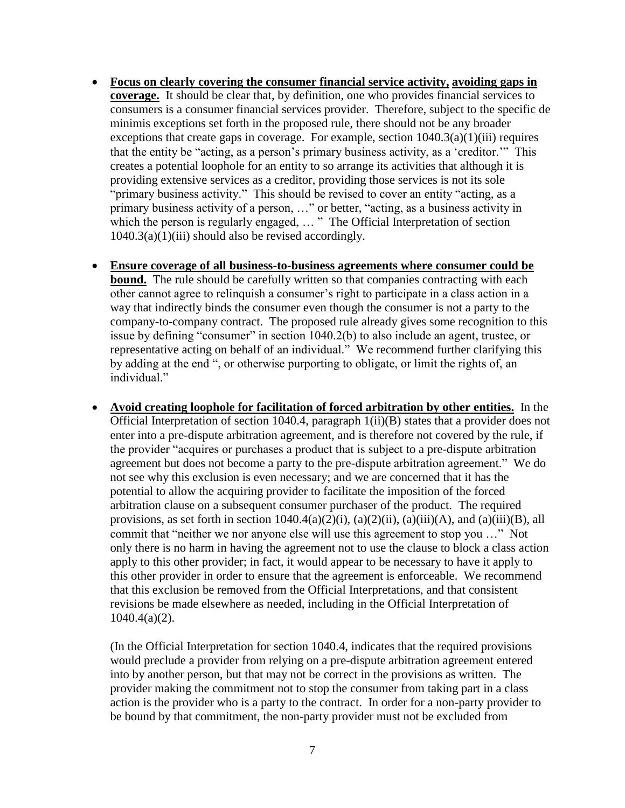- **Focus on clearly covering the consumer financial service activity, avoiding gaps in coverage.** It should be clear that, by definition, one who provides financial services to consumers is a consumer financial services provider. Therefore, subject to the specific de minimis exceptions set forth in the proposed rule, there should not be any broader exceptions that create gaps in coverage. For example, section  $1040.3(a)(1)(iii)$  requires that the entity be "acting, as a person's primary business activity, as a 'creditor.'" This creates a potential loophole for an entity to so arrange its activities that although it is providing extensive services as a creditor, providing those services is not its sole "primary business activity." This should be revised to cover an entity "acting, as a primary business activity of a person, …" or better, "acting, as a business activity in which the person is regularly engaged, ... " The Official Interpretation of section  $1040.3(a)(1)(iii)$  should also be revised accordingly.
- **Ensure coverage of all business-to-business agreements where consumer could be bound.** The rule should be carefully written so that companies contracting with each other cannot agree to relinquish a consumer's right to participate in a class action in a way that indirectly binds the consumer even though the consumer is not a party to the company-to-company contract. The proposed rule already gives some recognition to this issue by defining "consumer" in section 1040.2(b) to also include an agent, trustee, or representative acting on behalf of an individual." We recommend further clarifying this by adding at the end ", or otherwise purporting to obligate, or limit the rights of, an individual"
- **Avoid creating loophole for facilitation of forced arbitration by other entities.** In the Official Interpretation of section 1040.4, paragraph 1(ii)(B) states that a provider does not enter into a pre-dispute arbitration agreement, and is therefore not covered by the rule, if the provider "acquires or purchases a product that is subject to a pre-dispute arbitration agreement but does not become a party to the pre-dispute arbitration agreement." We do not see why this exclusion is even necessary; and we are concerned that it has the potential to allow the acquiring provider to facilitate the imposition of the forced arbitration clause on a subsequent consumer purchaser of the product. The required provisions, as set forth in section  $1040.4(a)(2)(i)$ ,  $(a)(2)(ii)$ ,  $(a)(iii)(A)$ , and  $(a)(iii)(B)$ , all commit that "neither we nor anyone else will use this agreement to stop you …" Not only there is no harm in having the agreement not to use the clause to block a class action apply to this other provider; in fact, it would appear to be necessary to have it apply to this other provider in order to ensure that the agreement is enforceable. We recommend that this exclusion be removed from the Official Interpretations, and that consistent revisions be made elsewhere as needed, including in the Official Interpretation of 1040.4(a)(2).

(In the Official Interpretation for section 1040.4, indicates that the required provisions would preclude a provider from relying on a pre-dispute arbitration agreement entered into by another person, but that may not be correct in the provisions as written. The provider making the commitment not to stop the consumer from taking part in a class action is the provider who is a party to the contract. In order for a non-party provider to be bound by that commitment, the non-party provider must not be excluded from